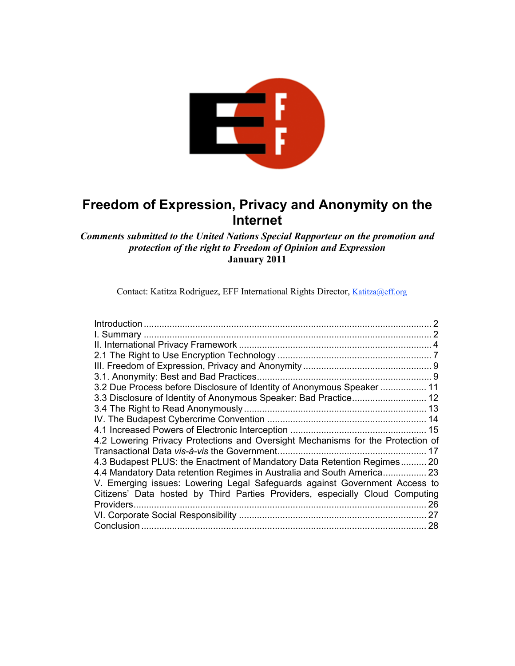

# **Freedom of Expression, Privacy and Anonymity on the Internet**

## *Comments submitted to the United Nations Special Rapporteur on the promotion and protection of the right to Freedom of Opinion and Expression* **January 2011**

Contact: Katitza Rodriguez, EFF International Rights Director, Katitza@eff.org

| 3.2 Due Process before Disclosure of Identity of Anonymous Speaker  11          |  |
|---------------------------------------------------------------------------------|--|
| 3.3 Disclosure of Identity of Anonymous Speaker: Bad Practice 12                |  |
|                                                                                 |  |
|                                                                                 |  |
|                                                                                 |  |
| 4.2 Lowering Privacy Protections and Oversight Mechanisms for the Protection of |  |
|                                                                                 |  |
| 4.3 Budapest PLUS: the Enactment of Mandatory Data Retention Regimes 20         |  |
| 4.4 Mandatory Data retention Regimes in Australia and South America 23          |  |
| V. Emerging issues: Lowering Legal Safeguards against Government Access to      |  |
| Citizens' Data hosted by Third Parties Providers, especially Cloud Computing    |  |
| 26                                                                              |  |
| 27                                                                              |  |
| Conclusion<br>28                                                                |  |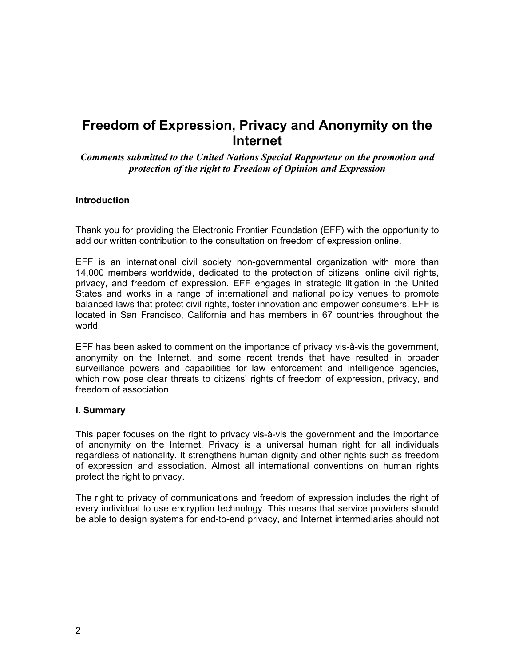# **Freedom of Expression, Privacy and Anonymity on the Internet**

*Comments submitted to the United Nations Special Rapporteur on the promotion and protection of the right to Freedom of Opinion and Expression*

#### **Introduction**

Thank you for providing the Electronic Frontier Foundation (EFF) with the opportunity to add our written contribution to the consultation on freedom of expression online.

EFF is an international civil society non-governmental organization with more than 14,000 members worldwide, dedicated to the protection of citizens' online civil rights, privacy, and freedom of expression. EFF engages in strategic litigation in the United States and works in a range of international and national policy venues to promote balanced laws that protect civil rights, foster innovation and empower consumers. EFF is located in San Francisco, California and has members in 67 countries throughout the world.

EFF has been asked to comment on the importance of privacy vis-à-vis the government, anonymity on the Internet, and some recent trends that have resulted in broader surveillance powers and capabilities for law enforcement and intelligence agencies, which now pose clear threats to citizens' rights of freedom of expression, privacy, and freedom of association.

#### **I. Summary**

This paper focuses on the right to privacy vis-à-vis the government and the importance of anonymity on the Internet. Privacy is a universal human right for all individuals regardless of nationality. It strengthens human dignity and other rights such as freedom of expression and association. Almost all international conventions on human rights protect the right to privacy.

The right to privacy of communications and freedom of expression includes the right of every individual to use encryption technology. This means that service providers should be able to design systems for end-to-end privacy, and Internet intermediaries should not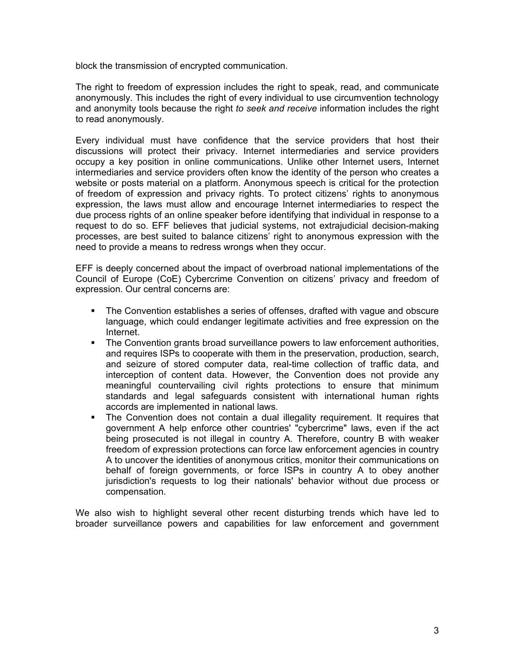block the transmission of encrypted communication.

The right to freedom of expression includes the right to speak, read, and communicate anonymously. This includes the right of every individual to use circumvention technology and anonymity tools because the right *to seek and receive* information includes the right to read anonymously.

Every individual must have confidence that the service providers that host their discussions will protect their privacy. Internet intermediaries and service providers occupy a key position in online communications. Unlike other Internet users, Internet intermediaries and service providers often know the identity of the person who creates a website or posts material on a platform. Anonymous speech is critical for the protection of freedom of expression and privacy rights. To protect citizens' rights to anonymous expression, the laws must allow and encourage Internet intermediaries to respect the due process rights of an online speaker before identifying that individual in response to a request to do so. EFF believes that judicial systems, not extrajudicial decision-making processes, are best suited to balance citizens' right to anonymous expression with the need to provide a means to redress wrongs when they occur.

EFF is deeply concerned about the impact of overbroad national implementations of the Council of Europe (CoE) Cybercrime Convention on citizens' privacy and freedom of expression. Our central concerns are:

- The Convention establishes a series of offenses, drafted with vague and obscure language, which could endanger legitimate activities and free expression on the Internet.
- The Convention grants broad surveillance powers to law enforcement authorities, and requires ISPs to cooperate with them in the preservation, production, search, and seizure of stored computer data, real-time collection of traffic data, and interception of content data. However, the Convention does not provide any meaningful countervailing civil rights protections to ensure that minimum standards and legal safeguards consistent with international human rights accords are implemented in national laws.
- The Convention does not contain a dual illegality requirement. It requires that government A help enforce other countries' "cybercrime" laws, even if the act being prosecuted is not illegal in country A. Therefore, country B with weaker freedom of expression protections can force law enforcement agencies in country A to uncover the identities of anonymous critics, monitor their communications on behalf of foreign governments, or force ISPs in country A to obey another jurisdiction's requests to log their nationals' behavior without due process or compensation.

We also wish to highlight several other recent disturbing trends which have led to broader surveillance powers and capabilities for law enforcement and government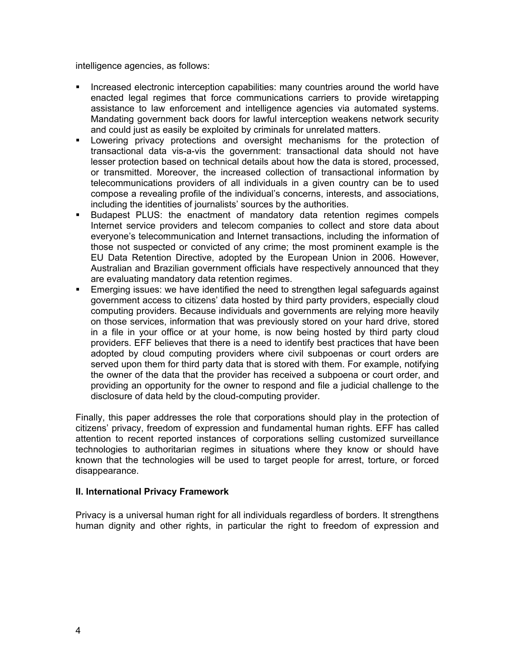intelligence agencies, as follows:

- Increased electronic interception capabilities: many countries around the world have enacted legal regimes that force communications carriers to provide wiretapping assistance to law enforcement and intelligence agencies via automated systems. Mandating government back doors for lawful interception weakens network security and could just as easily be exploited by criminals for unrelated matters.
- Lowering privacy protections and oversight mechanisms for the protection of transactional data vis-a-vis the government: transactional data should not have lesser protection based on technical details about how the data is stored, processed, or transmitted. Moreover, the increased collection of transactional information by telecommunications providers of all individuals in a given country can be to used compose a revealing profile of the individual's concerns, interests, and associations, including the identities of journalists' sources by the authorities.
- Budapest PLUS: the enactment of mandatory data retention regimes compels Internet service providers and telecom companies to collect and store data about everyone's telecommunication and Internet transactions, including the information of those not suspected or convicted of any crime; the most prominent example is the EU Data Retention Directive, adopted by the European Union in 2006. However, Australian and Brazilian government officials have respectively announced that they are evaluating mandatory data retention regimes.
- Emerging issues: we have identified the need to strengthen legal safeguards against government access to citizens' data hosted by third party providers, especially cloud computing providers. Because individuals and governments are relying more heavily on those services, information that was previously stored on your hard drive, stored in a file in your office or at your home, is now being hosted by third party cloud providers. EFF believes that there is a need to identify best practices that have been adopted by cloud computing providers where civil subpoenas or court orders are served upon them for third party data that is stored with them. For example, notifying the owner of the data that the provider has received a subpoena or court order, and providing an opportunity for the owner to respond and file a judicial challenge to the disclosure of data held by the cloud-computing provider.

Finally, this paper addresses the role that corporations should play in the protection of citizens' privacy, freedom of expression and fundamental human rights. EFF has called attention to recent reported instances of corporations selling customized surveillance technologies to authoritarian regimes in situations where they know or should have known that the technologies will be used to target people for arrest, torture, or forced disappearance.

#### **II. International Privacy Framework**

Privacy is a universal human right for all individuals regardless of borders. It strengthens human dignity and other rights, in particular the right to freedom of expression and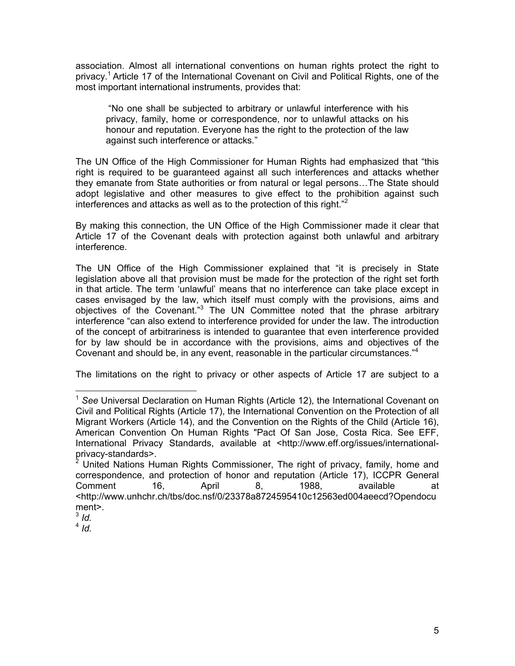association. Almost all international conventions on human rights protect the right to privacy. <sup>1</sup> Article 17 of the International Covenant on Civil and Political Rights, one of the most important international instruments, provides that:

"No one shall be subjected to arbitrary or unlawful interference with his privacy, family, home or correspondence, nor to unlawful attacks on his honour and reputation. Everyone has the right to the protection of the law against such interference or attacks*.*"

The UN Office of the High Commissioner for Human Rights had emphasized that "this right is required to be guaranteed against all such interferences and attacks whether they emanate from State authorities or from natural or legal persons…The State should adopt legislative and other measures to give effect to the prohibition against such interferences and attacks as well as to the protection of this right."<sup>2</sup>

By making this connection, the UN Office of the High Commissioner made it clear that Article 17 of the Covenant deals with protection against both unlawful and arbitrary interference.

The UN Office of the High Commissioner explained that "it is precisely in State legislation above all that provision must be made for the protection of the right set forth in that article. The term 'unlawful' means that no interference can take place except in cases envisaged by the law, which itself must comply with the provisions, aims and objectives of the Covenant."<sup>3</sup> The UN Committee noted that the phrase arbitrary interference "can also extend to interference provided for under the law. The introduction of the concept of arbitrariness is intended to guarantee that even interference provided for by law should be in accordance with the provisions, aims and objectives of the Covenant and should be, in any event, reasonable in the particular circumstances."<sup>4</sup>

The limitations on the right to privacy or other aspects of Article 17 are subject to a

 <sup>1</sup> *See* Universal Declaration on Human Rights (Article 12), the International Covenant on Civil and Political Rights (Article 17), the International Convention on the Protection of all Migrant Workers (Article 14), and the Convention on the Rights of the Child (Article 16), American Convention On Human Rights "Pact Of San Jose, Costa Rica. See EFF, International Privacy Standards, available at <http://www.eff.org/issues/internationalprivacy-standards>.

United Nations Human Rights Commissioner, The right of privacy, family, home and correspondence, and protection of honor and reputation (Article 17), ICCPR General Comment 16, April 8, 1988, available at <http://www.unhchr.ch/tbs/doc.nsf/0/23378a8724595410c12563ed004aeecd?Opendocu ment>.

 $3$  *Id.* 

<sup>4</sup> *Id.*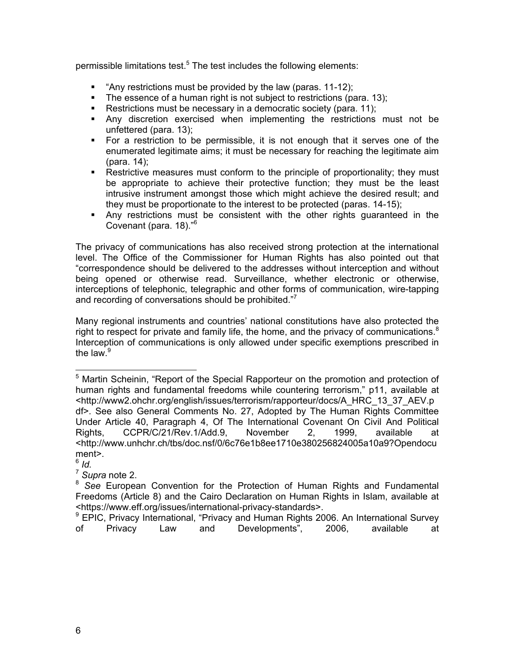permissible limitations test.<sup>5</sup> The test includes the following elements:

- " "Any restrictions must be provided by the law (paras. 11-12);
- The essence of a human right is not subject to restrictions (para. 13);
- Restrictions must be necessary in a democratic society (para, 11);
- Any discretion exercised when implementing the restrictions must not be unfettered (para. 13);
- For a restriction to be permissible, it is not enough that it serves one of the enumerated legitimate aims; it must be necessary for reaching the legitimate aim (para. 14);
- **Restrictive measures must conform to the principle of proportionality; they must** be appropriate to achieve their protective function; they must be the least intrusive instrument amongst those which might achieve the desired result; and they must be proportionate to the interest to be protected (paras. 14-15);
- Any restrictions must be consistent with the other rights guaranteed in the Covenant (para. 18)."<sup>6</sup>

The privacy of communications has also received strong protection at the international level. The Office of the Commissioner for Human Rights has also pointed out that "correspondence should be delivered to the addresses without interception and without being opened or otherwise read. Surveillance, whether electronic or otherwise, interceptions of telephonic, telegraphic and other forms of communication, wire-tapping and recording of conversations should be prohibited."<sup>7</sup>

Many regional instruments and countries' national constitutions have also protected the right to respect for private and family life, the home, and the privacy of communications. $8$ Interception of communications is only allowed under specific exemptions prescribed in the law. $9$ 

<sup>&</sup>lt;sup>5</sup> Martin Scheinin, "Report of the Special Rapporteur on the promotion and protection of human rights and fundamental freedoms while countering terrorism," p11, available at <http://www2.ohchr.org/english/issues/terrorism/rapporteur/docs/A\_HRC\_13\_37\_AEV.p df>. See also General Comments No. 27, Adopted by The Human Rights Committee Under Article 40, Paragraph 4, Of The International Covenant On Civil And Political Rights, CCPR/C/21/Rev.1/Add.9, November 2, 1999, available at <http://www.unhchr.ch/tbs/doc.nsf/0/6c76e1b8ee1710e380256824005a10a9?Opendocu ment>.

<sup>6</sup> *Id.*

<sup>7</sup> *Supra* note 2.

<sup>8</sup> *See* European Convention for the Protection of Human Rights and Fundamental Freedoms (Article 8) and the Cairo Declaration on Human Rights in Islam, available at <https://www.eff.org/issues/international-privacy-standards>.

<sup>&</sup>lt;sup>9</sup> EPIC. Privacy International, "Privacy and Human Rights 2006. An International Survey of Privacy Law and Developments", 2006, available at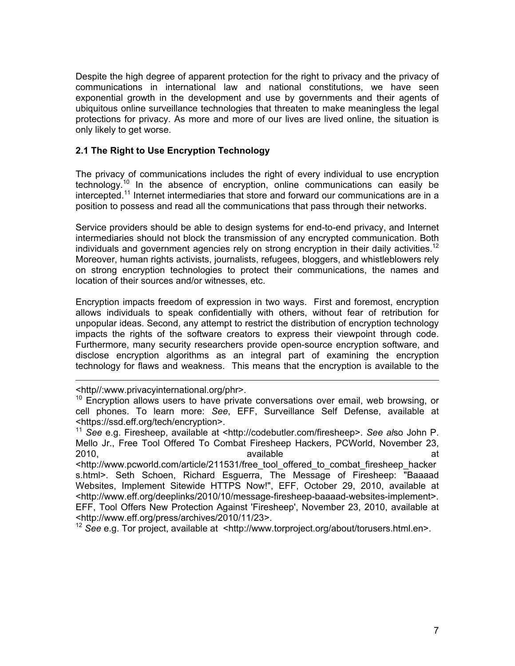Despite the high degree of apparent protection for the right to privacy and the privacy of communications in international law and national constitutions, we have seen exponential growth in the development and use by governments and their agents of ubiquitous online surveillance technologies that threaten to make meaningless the legal protections for privacy. As more and more of our lives are lived online, the situation is only likely to get worse.

## **2.1 The Right to Use Encryption Technology**

The privacy of communications includes the right of every individual to use encryption technology.<sup>10</sup> In the absence of encryption, online communications can easily be intercepted. 11 Internet intermediaries that store and forward our communications are in a position to possess and read all the communications that pass through their networks.

Service providers should be able to design systems for end-to-end privacy, and Internet intermediaries should not block the transmission of any encrypted communication. Both individuals and government agencies rely on strong encryption in their daily activities.<sup>12</sup> Moreover, human rights activists, journalists, refugees, bloggers, and whistleblowers rely on strong encryption technologies to protect their communications, the names and location of their sources and/or witnesses, etc.

Encryption impacts freedom of expression in two ways. First and foremost, encryption allows individuals to speak confidentially with others, without fear of retribution for unpopular ideas. Second, any attempt to restrict the distribution of encryption technology impacts the rights of the software creators to express their viewpoint through code. Furthermore, many security researchers provide open-source encryption software, and disclose encryption algorithms as an integral part of examining the encryption technology for flaws and weakness. This means that the encryption is available to the

<sup>12</sup> *See* e.g. Tor project, available at <http://www.torproject.org/about/torusers.html.en>.

<sup>&</sup>lt;http//:www.privacyinternational.org/phr>.

 $10$  Encryption allows users to have private conversations over email, web browsing, or cell phones. To learn more: *See*, EFF, Surveillance Self Defense, available at <https://ssd.eff.org/tech/encryption>.

<sup>11</sup> *See* e.g. Firesheep, available at <http://codebutler.com/firesheep>. *See al*so John P. Mello Jr., Free Tool Offered To Combat Firesheep Hackers, PCWorld, November 23, 2010, available available at the set of the set of the set of the set of the set of the set of the set of the set of the set of the set of the set of the set of the set of the set of the set of the set of the set of the se

<sup>&</sup>lt;http://www.pcworld.com/article/211531/free\_tool\_offered\_to\_combat\_firesheep\_hacker s.html>. Seth Schoen, Richard Esguerra, The Message of Firesheep: "Baaaad Websites, Implement Sitewide HTTPS Now!", EFF, October 29, 2010, available at <http://www.eff.org/deeplinks/2010/10/message-firesheep-baaaad-websites-implement>. EFF, Tool Offers New Protection Against 'Firesheep', November 23, 2010, available at <http://www.eff.org/press/archives/2010/11/23>.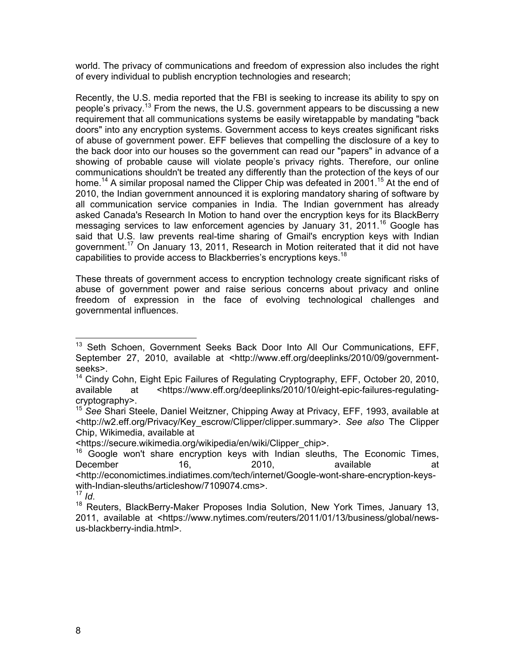world. The privacy of communications and freedom of expression also includes the right of every individual to publish encryption technologies and research;

Recently, the U.S. media reported that the FBI is seeking to increase its ability to spy on people's privacy.13 From the news, the U.S. government appears to be discussing a new requirement that all communications systems be easily wiretappable by mandating "back doors" into any encryption systems. Government access to keys creates significant risks of abuse of government power. EFF believes that compelling the disclosure of a key to the back door into our houses so the government can read our "papers" in advance of a showing of probable cause will violate people's privacy rights. Therefore, our online communications shouldn't be treated any differently than the protection of the keys of our home.<sup>14</sup> A similar proposal named the Clipper Chip was defeated in 2001.<sup>15</sup> At the end of 2010, the Indian government announced it is exploring mandatory sharing of software by all communication service companies in India. The Indian government has already asked Canada's Research In Motion to hand over the encryption keys for its BlackBerry messaging services to law enforcement agencies by January 31, 2011.<sup>16</sup> Google has said that U.S. law prevents real-time sharing of Gmail's encryption keys with Indian government.17 On January 13, 2011, Research in Motion reiterated that it did not have capabilities to provide access to Blackberries's encryptions keys.<sup>18</sup>

These threats of government access to encryption technology create significant risks of abuse of government power and raise serious concerns about privacy and online freedom of expression in the face of evolving technological challenges and governmental influences.

<sup>&</sup>lt;sup>13</sup> Seth Schoen, Government Seeks Back Door Into All Our Communications, EFF, September 27, 2010, available at <http://www.eff.org/deeplinks/2010/09/governmentseeks>.

<sup>&</sup>lt;sup>14</sup> Cindy Cohn, Eight Epic Failures of Regulating Cryptography, EFF, October 20, 2010, available at <https://www.eff.org/deeplinks/2010/10/eight-epic-failures-regulatingcryptography>.

<sup>15</sup> *See* Shari Steele, Daniel Weitzner, Chipping Away at Privacy, EFF, 1993, available at <http://w2.eff.org/Privacy/Key\_escrow/Clipper/clipper.summary>. *See also* The Clipper Chip, Wikimedia, available at

<sup>&</sup>lt;https://secure.wikimedia.org/wikipedia/en/wiki/Clipper\_chip>.

 $16$  Google won't share encryption keys with Indian sleuths, The Economic Times, December 16, 2010, available at at <http://economictimes.indiatimes.com/tech/internet/Google-wont-share-encryption-keyswith-Indian-sleuths/articleshow/7109074.cms>.<br> $\frac{17}{10}$ 

<sup>&</sup>lt;sup>18</sup> Reuters, BlackBerry-Maker Proposes India Solution, New York Times, January 13, 2011, available at <https://www.nytimes.com/reuters/2011/01/13/business/global/newsus-blackberry-india.html>.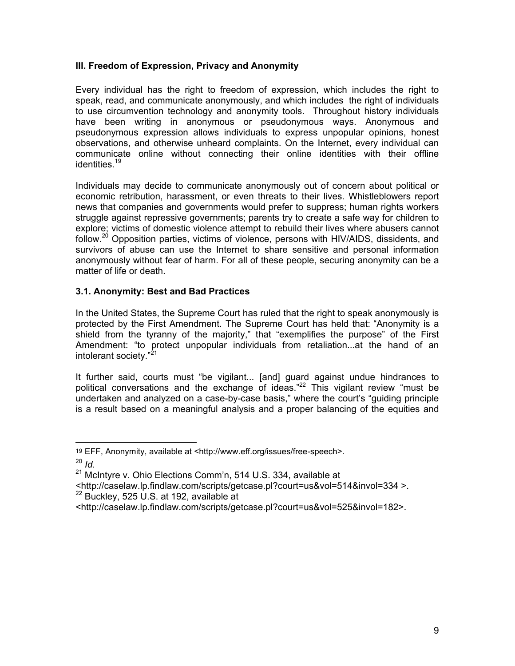### **III. Freedom of Expression, Privacy and Anonymity**

Every individual has the right to freedom of expression, which includes the right to speak, read, and communicate anonymously, and which includes the right of individuals to use circumvention technology and anonymity tools. Throughout history individuals have been writing in anonymous or pseudonymous ways. Anonymous and pseudonymous expression allows individuals to express unpopular opinions, honest observations, and otherwise unheard complaints. On the Internet, every individual can communicate online without connecting their online identities with their offline identities.<sup>19</sup>

Individuals may decide to communicate anonymously out of concern about political or economic retribution, harassment, or even threats to their lives. Whistleblowers report news that companies and governments would prefer to suppress; human rights workers struggle against repressive governments; parents try to create a safe way for children to explore; victims of domestic violence attempt to rebuild their lives where abusers cannot follow.<sup>20</sup> Opposition parties, victims of violence, persons with HIV/AIDS, dissidents, and survivors of abuse can use the Internet to share sensitive and personal information anonymously without fear of harm. For all of these people, securing anonymity can be a matter of life or death.

### **3.1. Anonymity: Best and Bad Practices**

In the United States, the Supreme Court has ruled that the right to speak anonymously is protected by the First Amendment. The Supreme Court has held that: "Anonymity is a shield from the tyranny of the majority," that "exemplifies the purpose" of the First Amendment: "to protect unpopular individuals from retaliation...at the hand of an intolerant society."<sup>21</sup>

It further said, courts must "be vigilant... [and] guard against undue hindrances to political conversations and the exchange of ideas." $^{22}$  This vigilant review "must be undertaken and analyzed on a case-by-case basis," where the court's "guiding principle is a result based on a meaningful analysis and a proper balancing of the equities and

 <sup>19</sup> EFF, Anonymity, available at <http://www.eff.org/issues/free-speech>.

<sup>20</sup> *Id.*

 $21$  McIntyre v. Ohio Elections Comm'n, 514 U.S. 334, available at

<sup>&</sup>lt;http://caselaw.lp.findlaw.com/scripts/getcase.pl?court=us&vol=514&invol=334 >.

 $22$  Buckley, 525 U.S. at 192, available at

<sup>&</sup>lt;http://caselaw.lp.findlaw.com/scripts/getcase.pl?court=us&vol=525&invol=182>.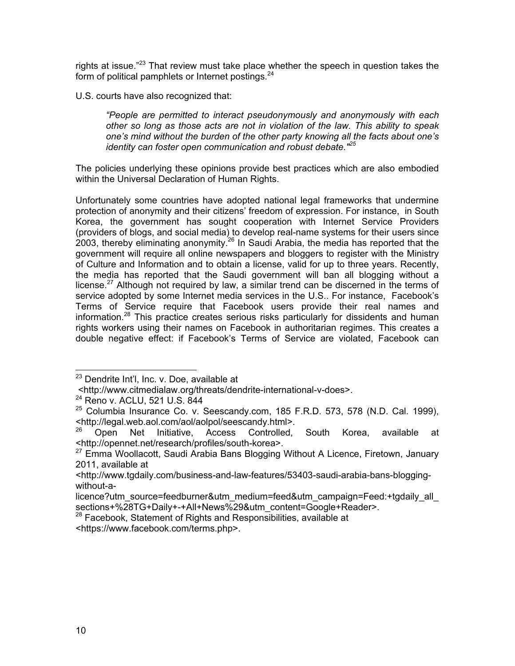rights at issue."<sup>23</sup> That review must take place whether the speech in question takes the form of political pamphlets or Internet postings. $24$ 

U.S. courts have also recognized that:

*"People are permitted to interact pseudonymously and anonymously with each other so long as those acts are not in violation of the law. This ability to speak one's mind without the burden of the other party knowing all the facts about one's identity can foster open communication and robust debate."<sup>25</sup>*

The policies underlying these opinions provide best practices which are also embodied within the Universal Declaration of Human Rights.

Unfortunately some countries have adopted national legal frameworks that undermine protection of anonymity and their citizens' freedom of expression. For instance, in South Korea, the government has sought cooperation with Internet Service Providers (providers of blogs, and social media) to develop real-name systems for their users since 2003, thereby eliminating anonymity.<sup>26</sup> In Saudi Arabia, the media has reported that the government will require all online newspapers and bloggers to register with the Ministry of Culture and Information and to obtain a license, valid for up to three years. Recently, the media has reported that the Saudi government will ban all blogging without a license.<sup>27</sup> Although not required by law, a similar trend can be discerned in the terms of service adopted by some Internet media services in the U.S.. For instance, Facebook's Terms of Service require that Facebook users provide their real names and information.<sup>28</sup> This practice creates serious risks particularly for dissidents and human rights workers using their names on Facebook in authoritarian regimes. This creates a double negative effect: if Facebook's Terms of Service are violated, Facebook can

<sup>&</sup>lt;sup>23</sup> Dendrite Int'l, Inc. v. Doe, available at

 <sup>&</sup>lt;http://www.citmedialaw.org/threats/dendrite-international-v-does>. <sup>24</sup> Reno v. ACLU, 521 U.S. 844

 $25$  Columbia Insurance Co. v. Seescandy.com, 185 F.R.D. 573, 578 (N.D. Cal. 1999), <http://legal.web.aol.com/aol/aolpol/seescandy.html>.

<sup>26</sup> Open Net Initiative, Access Controlled, South Korea, available at <http://opennet.net/research/profiles/south-korea>.

<sup>&</sup>lt;sup>27</sup> Emma Woollacott, Saudi Arabia Bans Blogging Without A Licence, Firetown, January 2011, available at

<sup>&</sup>lt;http://www.tgdaily.com/business-and-law-features/53403-saudi-arabia-bans-bloggingwithout-a-

licence?utm\_source=feedburner&utm\_medium=feed&utm\_campaign=Feed:+tgdaily\_all sections+%28TG+Daily+-+All+News%29&utm\_content=Google+Reader>.

<sup>&</sup>lt;sup>28</sup> Facebook, Statement of Rights and Responsibilities, available at

<sup>&</sup>lt;https://www.facebook.com/terms.php>.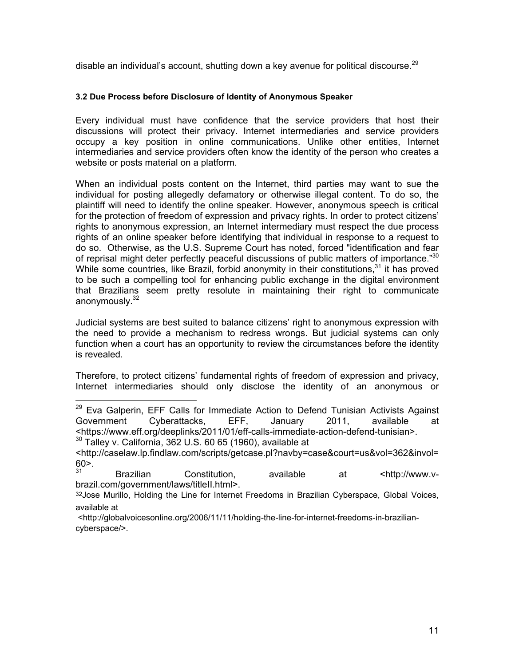disable an individual's account, shutting down a key avenue for political discourse.<sup>29</sup>

#### **3.2 Due Process before Disclosure of Identity of Anonymous Speaker**

Every individual must have confidence that the service providers that host their discussions will protect their privacy. Internet intermediaries and service providers occupy a key position in online communications. Unlike other entities, Internet intermediaries and service providers often know the identity of the person who creates a website or posts material on a platform.

When an individual posts content on the Internet, third parties may want to sue the individual for posting allegedly defamatory or otherwise illegal content. To do so, the plaintiff will need to identify the online speaker. However, anonymous speech is critical for the protection of freedom of expression and privacy rights. In order to protect citizens' rights to anonymous expression, an Internet intermediary must respect the due process rights of an online speaker before identifying that individual in response to a request to do so. Otherwise, as the U.S. Supreme Court has noted, forced "identification and fear of reprisal might deter perfectly peaceful discussions of public matters of importance."<sup>30</sup> While some countries, like Brazil, forbid anonymity in their constitutions,  $31$  it has proved to be such a compelling tool for enhancing public exchange in the digital environment that Brazilians seem pretty resolute in maintaining their right to communicate anonymously.<sup>32</sup>

Judicial systems are best suited to balance citizens' right to anonymous expression with the need to provide a mechanism to redress wrongs. But judicial systems can only function when a court has an opportunity to review the circumstances before the identity is revealed.

Therefore, to protect citizens' fundamental rights of freedom of expression and privacy, Internet intermediaries should only disclose the identity of an anonymous or

<http://caselaw.lp.findlaw.com/scripts/getcase.pl?navby=case&court=us&vol=362&invol= 60>.

Brazilian Constitution, available at <http://www.vbrazil.com/government/laws/titleII.html>.

32 Jose Murillo, Holding the Line for Internet Freedoms in Brazilian Cyberspace, Global Voices, available at

 <http://globalvoicesonline.org/2006/11/11/holding-the-line-for-internet-freedoms-in-braziliancyberspace/>.

<sup>&</sup>lt;sup>29</sup> Eva Galperin, EFF Calls for Immediate Action to Defend Tunisian Activists Against Government Cyberattacks, EFF, January 2011, available at <https://www.eff.org/deeplinks/2011/01/eff-calls-immediate-action-defend-tunisian>. <sup>30</sup> Talley v. California, 362 U.S. 60 65 (1960), available at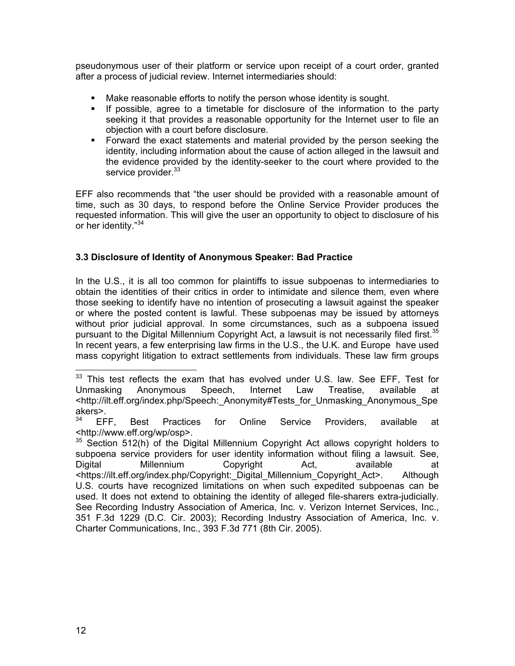pseudonymous user of their platform or service upon receipt of a court order, granted after a process of judicial review. Internet intermediaries should:

- Make reasonable efforts to notify the person whose identity is sought.
- If possible, agree to a timetable for disclosure of the information to the party seeking it that provides a reasonable opportunity for the Internet user to file an objection with a court before disclosure.
- Forward the exact statements and material provided by the person seeking the identity, including information about the cause of action alleged in the lawsuit and the evidence provided by the identity-seeker to the court where provided to the service provider.<sup>33</sup>

EFF also recommends that "the user should be provided with a reasonable amount of time, such as 30 days, to respond before the Online Service Provider produces the requested information. This will give the user an opportunity to object to disclosure of his or her identity."<sup>34</sup>

# **3.3 Disclosure of Identity of Anonymous Speaker: Bad Practice**

In the U.S., it is all too common for plaintiffs to issue subpoenas to intermediaries to obtain the identities of their critics in order to intimidate and silence them, even where those seeking to identify have no intention of prosecuting a lawsuit against the speaker or where the posted content is lawful. These subpoenas may be issued by attorneys without prior judicial approval. In some circumstances, such as a subpoena issued pursuant to the Digital Millennium Copyright Act, a lawsuit is not necessarily filed first.<sup>35</sup> In recent years, a few enterprising law firms in the U.S., the U.K. and Europe have used mass copyright litigation to extract settlements from individuals. These law firm groups

 $33$  This test reflects the exam that has evolved under U.S. law. See EFF, Test for Unmasking Anonymous Speech, Internet Law Treatise, available at <http://ilt.eff.org/index.php/Speech:\_Anonymity#Tests\_for\_Unmasking\_Anonymous\_Spe akers>.<br> $34$  EFF.

<sup>&</sup>lt;sup>34</sup> EFF, Best Practices for Online Service Providers, available at <http://www.eff.org/wp/osp>.

 $35$  Section 512(h) of the Digital Millennium Copyright Act allows copyright holders to subpoena service providers for user identity information without filing a lawsuit. See, Digital Millennium Copyright Act, available at <https://ilt.eff.org/index.php/Copyright:\_Digital\_Millennium\_Copyright\_Act>. Although U.S. courts have recognized limitations on when such expedited subpoenas can be used. It does not extend to obtaining the identity of alleged file-sharers extra-judicially. See Recording Industry Association of America, Inc. v. Verizon Internet Services, Inc., 351 F.3d 1229 (D.C. Cir. 2003); Recording Industry Association of America, Inc. v. Charter Communications, Inc., 393 F.3d 771 (8th Cir. 2005).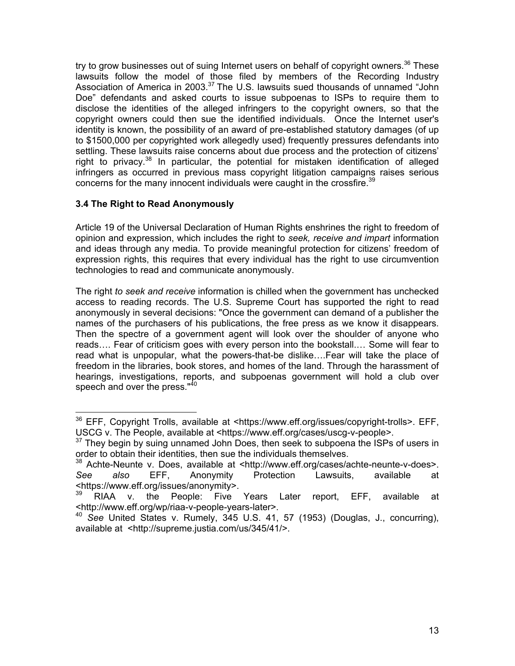try to grow businesses out of suing Internet users on behalf of copyright owners.<sup>36</sup> These lawsuits follow the model of those filed by members of the Recording Industry Association of America in 2003.<sup>37</sup> The U.S. lawsuits sued thousands of unnamed "John Doe" defendants and asked courts to issue subpoenas to ISPs to require them to disclose the identities of the alleged infringers to the copyright owners, so that the copyright owners could then sue the identified individuals. Once the Internet user's identity is known, the possibility of an award of pre-established statutory damages (of up to \$1500,000 per copyrighted work allegedly used) frequently pressures defendants into settling. These lawsuits raise concerns about due process and the protection of citizens' right to privacy.<sup>38</sup> In particular, the potential for mistaken identification of alleged infringers as occurred in previous mass copyright litigation campaigns raises serious concerns for the many innocent individuals were caught in the crossfire.<sup>39</sup>

# **3.4 The Right to Read Anonymously**

Article 19 of the Universal Declaration of Human Rights enshrines the right to freedom of opinion and expression, which includes the right to *seek, receive and impart* information and ideas through any media. To provide meaningful protection for citizens' freedom of expression rights, this requires that every individual has the right to use circumvention technologies to read and communicate anonymously.

The right *to seek and receive* information is chilled when the government has unchecked access to reading records. The U.S. Supreme Court has supported the right to read anonymously in several decisions: "Once the government can demand of a publisher the names of the purchasers of his publications, the free press as we know it disappears. Then the spectre of a government agent will look over the shoulder of anyone who reads…. Fear of criticism goes with every person into the bookstall.… Some will fear to read what is unpopular, what the powers-that-be dislike….Fear will take the place of freedom in the libraries, book stores, and homes of the land. Through the harassment of hearings, investigations, reports, and subpoenas government will hold a club over speech and over the press."<sup>40</sup>

<sup>&</sup>lt;sup>36</sup> EFF, Copyright Trolls, available at <https://www.eff.org/issues/copyright-trolls>, EFF, USCG v. The People, available at <https://www.eff.org/cases/uscg-v-people>.

 $37$  They begin by suing unnamed John Does, then seek to subpoena the ISPs of users in order to obtain their identities, then sue the individuals themselves.

<sup>38</sup> Achte-Neunte v. Does, available at <http://www.eff.org/cases/achte-neunte-v-does>. *See also* EFF, Anonymity Protection Lawsuits, available at <https://www.eff.org/issues/anonymity>.

RIAA v. the People: Five Years Later report, EFF, available at <http://www.eff.org/wp/riaa-v-people-years-later>.

<sup>40</sup> *See* United States v. Rumely, 345 U.S. 41, 57 (1953) (Douglas, J., concurring), available at <http://supreme.justia.com/us/345/41/>.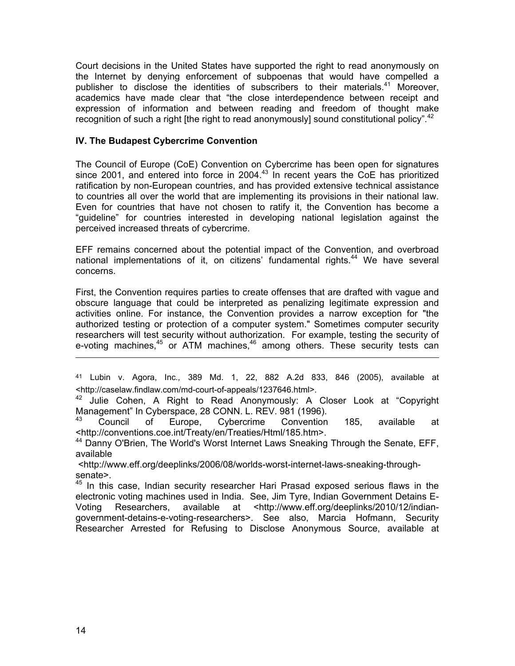Court decisions in the United States have supported the right to read anonymously on the Internet by denying enforcement of subpoenas that would have compelled a publisher to disclose the identities of subscribers to their materials.41 Moreover, academics have made clear that "the close interdependence between receipt and expression of information and between reading and freedom of thought make recognition of such a right [the right to read anonymously] sound constitutional policy".<sup>42</sup>

#### **IV. The Budapest Cybercrime Convention**

The Council of Europe (CoE) Convention on Cybercrime has been open for signatures since 2001, and entered into force in 2004. $43$  In recent years the CoE has prioritized ratification by non-European countries, and has provided extensive technical assistance to countries all over the world that are implementing its provisions in their national law. Even for countries that have not chosen to ratify it, the Convention has become a "guideline" for countries interested in developing national legislation against the perceived increased threats of cybercrime.

EFF remains concerned about the potential impact of the Convention, and overbroad national implementations of it, on citizens' fundamental rights.<sup>44</sup> We have several concerns.

First, the Convention requires parties to create offenses that are drafted with vague and obscure language that could be interpreted as penalizing legitimate expression and activities online. For instance, the Convention provides a narrow exception for "the authorized testing or protection of a computer system." Sometimes computer security researchers will test security without authorization. For example, testing the security of e-voting machines,<sup>45</sup> or ATM machines,<sup>46</sup> among others. These security tests can

<sup>41</sup> Lubin v. Agora, Inc*.,* 389 Md. 1, 22, 882 A.2d 833, 846 (2005), available at <http://caselaw.findlaw.com/md-court-of-appeals/1237646.html>.

<sup>42</sup> Julie Cohen, A Right to Read Anonymously: A Closer Look at "Copyright Management" In Cyberspace, 28 CONN. L. REV. 981 (1996).

<sup>43</sup> Council of Europe, Cybercrime Convention 185, available at <http://conventions.coe.int/Treaty/en/Treaties/Html/185.htm>.

<sup>44</sup> Danny O'Brien, The World's Worst Internet Laws Sneaking Through the Senate, EFF, available

 <http://www.eff.org/deeplinks/2006/08/worlds-worst-internet-laws-sneaking-throughsenate>.

<sup>45</sup> In this case, Indian security researcher Hari Prasad exposed serious flaws in the electronic voting machines used in India. See, Jim Tyre, Indian Government Detains E-Voting Researchers, available at <http://www.eff.org/deeplinks/2010/12/indiangovernment-detains-e-voting-researchers>. See also, Marcia Hofmann, Security Researcher Arrested for Refusing to Disclose Anonymous Source, available at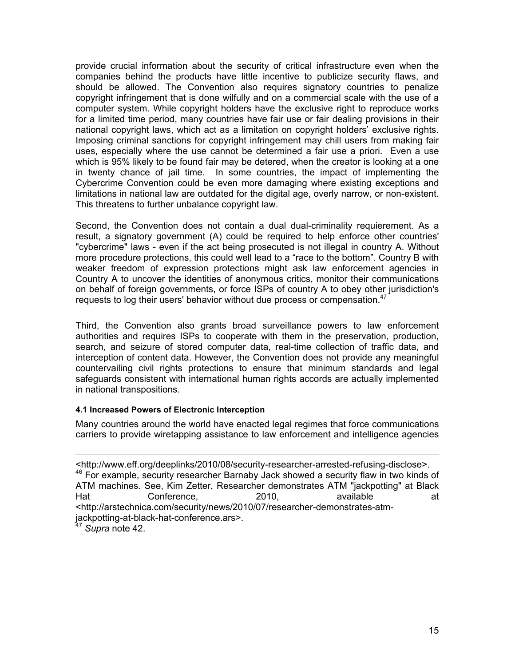provide crucial information about the security of critical infrastructure even when the companies behind the products have little incentive to publicize security flaws, and should be allowed. The Convention also requires signatory countries to penalize copyright infringement that is done wilfully and on a commercial scale with the use of a computer system. While copyright holders have the exclusive right to reproduce works for a limited time period, many countries have fair use or fair dealing provisions in their national copyright laws, which act as a limitation on copyright holders' exclusive rights. Imposing criminal sanctions for copyright infringement may chill users from making fair uses, especially where the use cannot be determined a fair use a priori. Even a use which is 95% likely to be found fair may be detered, when the creator is looking at a one in twenty chance of jail time. In some countries, the impact of implementing the Cybercrime Convention could be even more damaging where existing exceptions and limitations in national law are outdated for the digital age, overly narrow, or non-existent. This threatens to further unbalance copyright law.

Second, the Convention does not contain a dual dual-criminality requierement. As a result, a signatory government (A) could be required to help enforce other countries' "cybercrime" laws - even if the act being prosecuted is not illegal in country A. Without more procedure protections, this could well lead to a "race to the bottom". Country B with weaker freedom of expression protections might ask law enforcement agencies in Country A to uncover the identities of anonymous critics, monitor their communications on behalf of foreign governments, or force ISPs of country A to obey other jurisdiction's requests to log their users' behavior without due process or compensation. $47$ 

Third, the Convention also grants broad surveillance powers to law enforcement authorities and requires ISPs to cooperate with them in the preservation, production, search, and seizure of stored computer data, real-time collection of traffic data, and interception of content data. However, the Convention does not provide any meaningful countervailing civil rights protections to ensure that minimum standards and legal safeguards consistent with international human rights accords are actually implemented in national transpositions.

#### **4.1 Increased Powers of Electronic Interception**

Many countries around the world have enacted legal regimes that force communications carriers to provide wiretapping assistance to law enforcement and intelligence agencies

<sup>&</sup>lt;http://www.eff.org/deeplinks/2010/08/security-researcher-arrested-refusing-disclose>. <sup>46</sup> For example, security researcher Barnaby Jack showed a security flaw in two kinds of ATM machines. See, Kim Zetter, Researcher demonstrates ATM "jackpotting" at Black<br>Hat die bonference, 2010, available at Hat Conference, 2010, available at the conference at 2010. <http://arstechnica.com/security/news/2010/07/researcher-demonstrates-atmjackpotting-at-black-hat-conference.ars>.

<sup>47</sup> *Supra* note 42.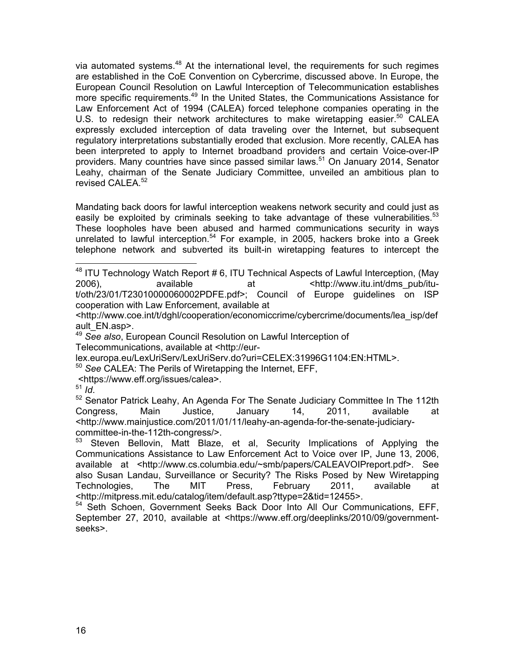via automated systems.<sup>48</sup> At the international level, the requirements for such regimes are established in the CoE Convention on Cybercrime, discussed above. In Europe, the European Council Resolution on Lawful Interception of Telecommunication establishes more specific requirements.<sup>49</sup> In the United States, the Communications Assistance for Law Enforcement Act of 1994 (CALEA) forced telephone companies operating in the U.S. to redesign their network architectures to make wiretapping easier.<sup>50</sup> CALEA expressly excluded interception of data traveling over the Internet, but subsequent regulatory interpretations substantially eroded that exclusion. More recently, CALEA has been interpreted to apply to Internet broadband providers and certain Voice-over-IP providers. Many countries have since passed similar laws.<sup>51</sup> On January 2014, Senator Leahy, chairman of the Senate Judiciary Committee, unveiled an ambitious plan to revised CALEA.<sup>52</sup>

Mandating back doors for lawful interception weakens network security and could just as easily be exploited by criminals seeking to take advantage of these vulnerabilities.<sup>53</sup> These loopholes have been abused and harmed communications security in ways unrelated to lawful interception. 54 For example, in 2005, hackers broke into a Greek telephone network and subverted its built-in wiretapping features to intercept the

 $48$  ITU Technology Watch Report #6, ITU Technical Aspects of Lawful Interception, (May 2006), available at  $\frac{1}{2006}$ , and  $\frac{1}{2006}$  at  $\frac{1}{2006}$ ,  $\frac{1}{200}$  and  $\frac{1}{200}$  and  $\frac{1}{200}$  and  $\frac{1}{200}$  and  $\frac{1}{200}$  and  $\frac{1}{200}$  and  $\frac{1}{200}$  and  $\frac{1}{200}$  and  $\frac{1}{200}$  and  $\frac{1}{200}$ t/oth/23/01/T23010000060002PDFE.pdf>; Council of Europe guidelines on ISP cooperation with Law Enforcement, available at

<http://www.coe.int/t/dghl/cooperation/economiccrime/cybercrime/documents/lea\_isp/def ault\_EN.asp>.

<sup>49</sup> *See also*, European Council Resolution on Lawful Interception of

Telecommunications, available at <http://eur-

lex.europa.eu/LexUriServ/LexUriServ.do?uri=CELEX:31996G1104:EN:HTML>.<br><sup>50</sup> See CALEA: The Perils of Wiretapping the Internet, EFF,

<https://www.eff.org/issues/calea>.

<sup>52</sup> Senator Patrick Leahy, An Agenda For The Senate Judiciary Committee In The 112th<br>Congress, Main Justice, January 14, 2011. available at Congress, Main Justice, January 14, 2011, available at <http://www.mainjustice.com/2011/01/11/leahy-an-agenda-for-the-senate-judiciarycommittee-in-the-112th-congress/>.

53 Steven Bellovin, Matt Blaze, et al, Security Implications of Applying the Communications Assistance to Law Enforcement Act to Voice over IP, June 13, 2006, available at <http://www.cs.columbia.edu/~smb/papers/CALEAVOIPreport.pdf>. See also Susan Landau, Surveillance or Security? The Risks Posed by New Wiretapping Technologies, The MIT Press, February 2011, available at <http://mitpress.mit.edu/catalog/item/default.asp?ttype=2&tid=12455>.

<sup>54</sup> Seth Schoen, Government Seeks Back Door Into All Our Communications, EFF, September 27, 2010, available at <https://www.eff.org/deeplinks/2010/09/governmentseeks>.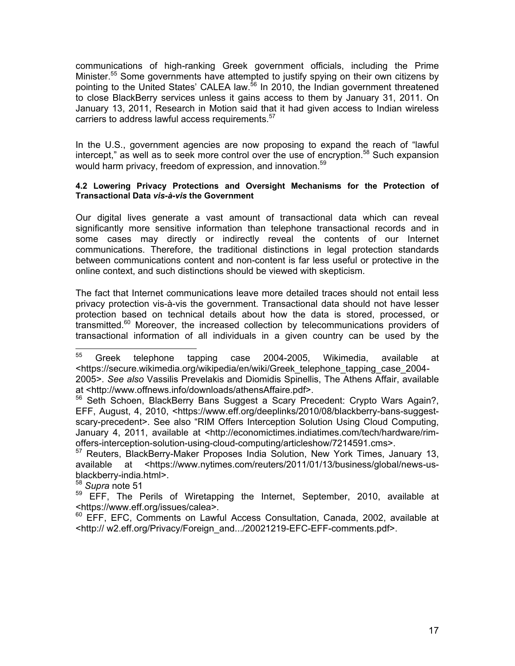communications of high-ranking Greek government officials, including the Prime Minister.<sup>55</sup> Some governments have attempted to justify spying on their own citizens by pointing to the United States' CALEA law.<sup>56</sup> In 2010, the Indian government threatened to close BlackBerry services unless it gains access to them by January 31, 2011. On January 13, 2011, Research in Motion said that it had given access to Indian wireless carriers to address lawful access requirements.<sup>57</sup>

In the U.S., government agencies are now proposing to expand the reach of "lawful intercept," as well as to seek more control over the use of encryption.<sup>58</sup> Such expansion would harm privacy, freedom of expression, and innovation.<sup>59</sup>

#### **4.2 Lowering Privacy Protections and Oversight Mechanisms for the Protection of Transactional Data** *vis-à-vis* **the Government**

Our digital lives generate a vast amount of transactional data which can reveal significantly more sensitive information than telephone transactional records and in some cases may directly or indirectly reveal the contents of our Internet communications. Therefore, the traditional distinctions in legal protection standards between communications content and non-content is far less useful or protective in the online context, and such distinctions should be viewed with skepticism.

The fact that Internet communications leave more detailed traces should not entail less privacy protection vis-à-vis the government. Transactional data should not have lesser protection based on technical details about how the data is stored, processed, or transmitted.<sup>60</sup> Moreover, the increased collection by telecommunications providers of transactional information of all individuals in a given country can be used by the

<sup>58</sup> *Supra* note 51

 <sup>55</sup> Greek telephone tapping case 2004-2005, Wikimedia, available at <https://secure.wikimedia.org/wikipedia/en/wiki/Greek\_telephone\_tapping\_case\_2004- 2005>. *See also* Vassilis Prevelakis and Diomidis Spinellis, The Athens Affair, available at <http://www.offnews.info/downloads/athensAffaire.pdf>.

<sup>&</sup>lt;sup>56</sup> Seth Schoen, BlackBerry Bans Suggest a Scary Precedent: Crypto Wars Again?, EFF, August, 4, 2010, <https://www.eff.org/deeplinks/2010/08/blackberry-bans-suggestscary-precedent>. See also "RIM Offers Interception Solution Using Cloud Computing, January 4, 2011, available at <http://economictimes.indiatimes.com/tech/hardware/rimoffers-interception-solution-using-cloud-computing/articleshow/7214591.cms>.

<sup>&</sup>lt;sup>57</sup> Reuters, BlackBerry-Maker Proposes India Solution, New York Times, January 13, available at <https://www.nytimes.com/reuters/2011/01/13/business/global/news-usblackberry-india.html>.

 $59$  EFF, The Perils of Wiretapping the Internet, September, 2010, available at <https://www.eff.org/issues/calea>.

<sup>&</sup>lt;sup>60</sup> EFF, EFC, Comments on Lawful Access Consultation, Canada, 2002, available at <http:// w2.eff.org/Privacy/Foreign\_and.../20021219-EFC-EFF-comments.pdf>.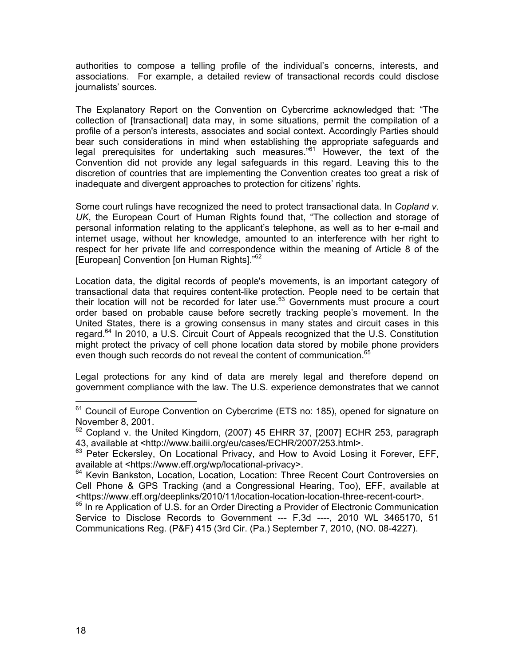authorities to compose a telling profile of the individual's concerns, interests, and associations. For example, a detailed review of transactional records could disclose journalists' sources.

The Explanatory Report on the Convention on Cybercrime acknowledged that: "The collection of [transactional] data may, in some situations, permit the compilation of a profile of a person's interests, associates and social context. Accordingly Parties should bear such considerations in mind when establishing the appropriate safeguards and legal prerequisites for undertaking such measures."<sup>61</sup> However, the text of the Convention did not provide any legal safeguards in this regard. Leaving this to the discretion of countries that are implementing the Convention creates too great a risk of inadequate and divergent approaches to protection for citizens' rights.

Some court rulings have recognized the need to protect transactional data. In *Copland v. UK*, the European Court of Human Rights found that, "The collection and storage of personal information relating to the applicant's telephone, as well as to her e-mail and internet usage, without her knowledge, amounted to an interference with her right to respect for her private life and correspondence within the meaning of Article 8 of the [European] Convention [on Human Rights]."<sup>62</sup>

Location data, the digital records of people's movements, is an important category of transactional data that requires content-like protection. People need to be certain that their location will not be recorded for later use.<sup>63</sup> Governments must procure a court order based on probable cause before secretly tracking people's movement. In the United States, there is a growing consensus in many states and circuit cases in this regard.<sup>64</sup> In 2010, a U.S. Circuit Court of Appeals recognized that the U.S. Constitution might protect the privacy of cell phone location data stored by mobile phone providers even though such records do not reveal the content of communication.<sup>65</sup>

Legal protections for any kind of data are merely legal and therefore depend on government compliance with the law. The U.S. experience demonstrates that we cannot

 $61$  Council of Europe Convention on Cybercrime (ETS no: 185), opened for signature on November 8, 2001.

 $62$  Copland v. the United Kingdom, (2007) 45 EHRR 37, [2007] ECHR 253, paragraph 43, available at <http://www.bailii.org/eu/cases/ECHR/2007/253.html>.

<sup>&</sup>lt;sup>63</sup> Peter Eckersley, On Locational Privacy, and How to Avoid Losing it Forever, EFF, available at <https://www.eff.org/wp/locational-privacy>.

<sup>&</sup>lt;sup>64</sup> Kevin Bankston, Location, Location, Location: Three Recent Court Controversies on Cell Phone & GPS Tracking (and a Congressional Hearing, Too), EFF, available at <https://www.eff.org/deeplinks/2010/11/location-location-location-three-recent-court>.

<sup>&</sup>lt;sup>65</sup> In re Application of U.S. for an Order Directing a Provider of Electronic Communication Service to Disclose Records to Government --- F.3d ----, 2010 WL 3465170, 51 Communications Reg. (P&F) 415 (3rd Cir. (Pa.) September 7, 2010, (NO. 08-4227).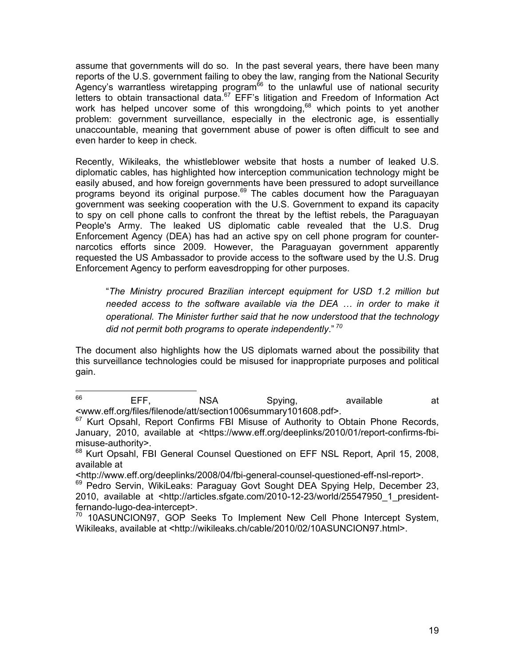assume that governments will do so. In the past several years, there have been many reports of the U.S. government failing to obey the law, ranging from the National Security Agency's warrantless wiretapping program<sup> $66$ </sup> to the unlawful use of national security letters to obtain transactional data.<sup>67</sup> EFF's litigation and Freedom of Information Act work has helped uncover some of this wrongdoing,<sup>68</sup> which points to yet another problem: government surveillance, especially in the electronic age, is essentially unaccountable, meaning that government abuse of power is often difficult to see and even harder to keep in check.

Recently, Wikileaks, the whistleblower website that hosts a number of leaked U.S. diplomatic cables, has highlighted how interception communication technology might be easily abused, and how foreign governments have been pressured to adopt surveillance programs beyond its original purpose.<sup>69</sup> The cables document how the Paraguayan government was seeking cooperation with the U.S. Government to expand its capacity to spy on cell phone calls to confront the threat by the leftist rebels, the Paraguayan People's Army. The leaked US diplomatic cable revealed that the U.S. Drug Enforcement Agency (DEA) has had an active spy on cell phone program for counternarcotics efforts since 2009. However, the Paraguayan government apparently requested the US Ambassador to provide access to the software used by the U.S. Drug Enforcement Agency to perform eavesdropping for other purposes.

"*The Ministry procured Brazilian intercept equipment for USD 1.2 million but needed access to the software available via the DEA ... in order to make it operational. The Minister further said that he now understood that the technology did not permit both programs to operate independently*." *<sup>70</sup>*

The document also highlights how the US diplomats warned about the possibility that this surveillance technologies could be misused for inappropriate purposes and political gain.

es<br>
EFF, NSA Spying, available at

<sup>&</sup>lt;www.eff.org/files/filenode/att/section1006summary101608.pdf>. <sup>67</sup> Kurt Opsahl, Report Confirms FBI Misuse of Authority to Obtain Phone Records, January, 2010, available at <https://www.eff.org/deeplinks/2010/01/report-confirms-fbimisuse-authority>.

<sup>&</sup>lt;sup>68</sup> Kurt Opsahl, FBI General Counsel Questioned on EFF NSL Report, April 15, 2008, available at

<sup>&</sup>lt;http://www.eff.org/deeplinks/2008/04/fbi-general-counsel-questioned-eff-nsl-report>.

<sup>&</sup>lt;sup>69</sup> Pedro Servin, WikiLeaks: Paraguay Govt Sought DEA Spying Help, December 23, 2010, available at <http://articles.sfgate.com/2010-12-23/world/25547950\_1\_presidentfernando-lugo-dea-intercept>.

<sup>&</sup>lt;sup>70</sup> 10ASUNCION97, GOP Seeks To Implement New Cell Phone Intercept System, Wikileaks, available at <http://wikileaks.ch/cable/2010/02/10ASUNCION97.html>.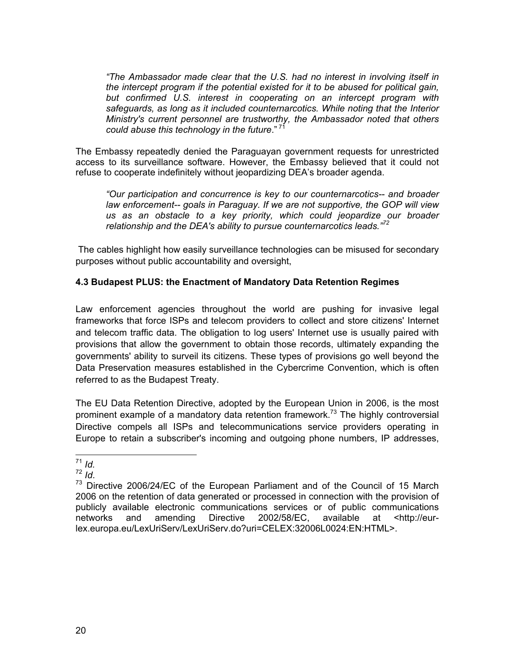*"The Ambassador made clear that the U.S. had no interest in involving itself in the intercept program if the potential existed for it to be abused for political gain, but confirmed U.S. interest in cooperating on an intercept program with safeguards, as long as it included counternarcotics. While noting that the Interior Ministry's current personnel are trustworthy, the Ambassador noted that others could abuse this technology in the future*." <sup>71</sup>

The Embassy repeatedly denied the Paraguayan government requests for unrestricted access to its surveillance software. However, the Embassy believed that it could not refuse to cooperate indefinitely without jeopardizing DEA's broader agenda.

*"Our participation and concurrence is key to our counternarcotics-- and broader law enforcement-- goals in Paraguay. If we are not supportive, the GOP will view us as an obstacle to a key priority, which could jeopardize our broader relationship and the DEA's ability to pursue counternarcotics leads."<sup>72</sup>*

 The cables highlight how easily surveillance technologies can be misused for secondary purposes without public accountability and oversight,

## **4.3 Budapest PLUS: the Enactment of Mandatory Data Retention Regimes**

Law enforcement agencies throughout the world are pushing for invasive legal frameworks that force ISPs and telecom providers to collect and store citizens' Internet and telecom traffic data. The obligation to log users' Internet use is usually paired with provisions that allow the government to obtain those records, ultimately expanding the governments' ability to surveil its citizens. These types of provisions go well beyond the Data Preservation measures established in the Cybercrime Convention, which is often referred to as the Budapest Treaty.

The EU Data Retention Directive, adopted by the European Union in 2006, is the most prominent example of a mandatory data retention framework.<sup>73</sup> The highly controversial Directive compels all ISPs and telecommunications service providers operating in Europe to retain a subscriber's incoming and outgoing phone numbers, IP addresses,

<sup>&</sup>lt;sup>71</sup> *Id.*<br><sup>72</sup> *Id.*<br><sup>73</sup> Directive 2006/24/EC of the European Parliament and of the Council of 15 March 2006 on the retention of data generated or processed in connection with the provision of publicly available electronic communications services or of public communications networks and amending Directive 2002/58/EC, available at <http://eurlex.europa.eu/LexUriServ/LexUriServ.do?uri=CELEX:32006L0024:EN:HTML>.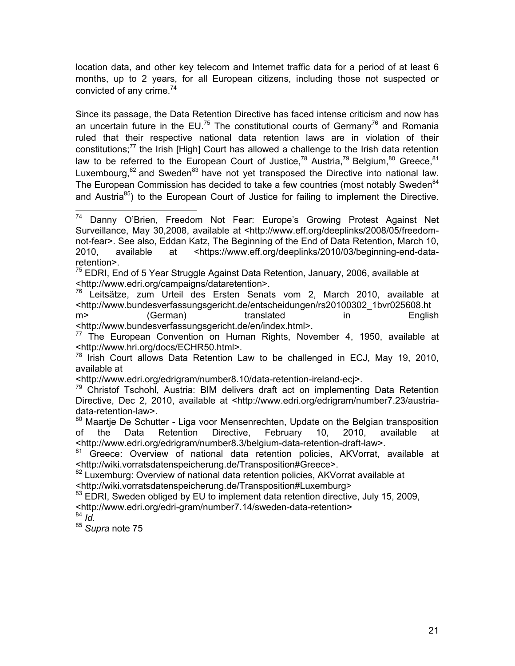location data, and other key telecom and Internet traffic data for a period of at least 6 months, up to 2 years, for all European citizens, including those not suspected or convicted of any crime. $74$ 

Since its passage, the Data Retention Directive has faced intense criticism and now has an uncertain future in the EU.<sup>75</sup> The constitutional courts of Germany<sup>76</sup> and Romania ruled that their respective national data retention laws are in violation of their constitutions;<sup>77</sup> the Irish [High] Court has allowed a challenge to the Irish data retention law to be referred to the European Court of Justice,  $78$  Austria,  $79$  Belgium,  $80$  Greece,  $81$ Luxembourg, $82$  and Sweden $83$  have not yet transposed the Directive into national law. The European Commission has decided to take a few countries (most notably Sweden<sup>84</sup> and Austria $85$ ) to the European Court of Justice for failing to implement the Directive.

 $75$  EDRI, End of 5 Year Struggle Against Data Retention, January, 2006, available at <http://www.edri.org/campaigns/dataretention>.

<sup>76</sup> Leitsätze, zum Urteil des Ersten Senats vom 2, March 2010, available at <http://www.bundesverfassungsgericht.de/entscheidungen/rs20100302\_1bvr025608.ht m> (German) translated in English <http://www.bundesverfassungsgericht.de/en/index.html>.

 $77$  The European Convention on Human Rights, November 4, 1950, available at <http://www.hri.org/docs/ECHR50.html>.

 $78$  Irish Court allows Data Retention Law to be challenged in ECJ, May 19, 2010, available at

<http://www.edri.org/edrigram/number8.10/data-retention-ireland-ecj>.

 $79$  Christof Tschohl, Austria: BIM delivers draft act on implementing Data Retention Directive, Dec 2, 2010, available at <http://www.edri.org/edrigram/number7.23/austriadata-retention-law>.

<sup>80</sup> Maartje De Schutter - Liga voor Mensenrechten, Update on the Belgian transposition of the Data Retention Directive, February 10, 2010, available at <http://www.edri.org/edrigram/number8.3/belgium-data-retention-draft-law>.

81 Greece: Overview of national data retention policies, AKVorrat, available at <http://wiki.vorratsdatenspeicherung.de/Transposition#Greece>.

82 Luxemburg: Overview of national data retention policies, AKVorrat available at <http://wiki.vorratsdatenspeicherung.de/Transposition#Luxemburg>

<sup>83</sup> EDRI, Sweden obliged by EU to implement data retention directive, July 15, 2009, <http://www.edri.org/edri-gram/number7.14/sweden-data-retention>

<sup>84</sup> *Id.*

<sup>85</sup> *Supra* note 75

<sup>&</sup>lt;sup>74</sup> Danny O'Brien, Freedom Not Fear: Europe's Growing Protest Against Net Surveillance, May 30,2008, available at <http://www.eff.org/deeplinks/2008/05/freedomnot-fear>. See also, Eddan Katz, The Beginning of the End of Data Retention, March 10, 2010, available at <https://www.eff.org/deeplinks/2010/03/beginning-end-dataretention>.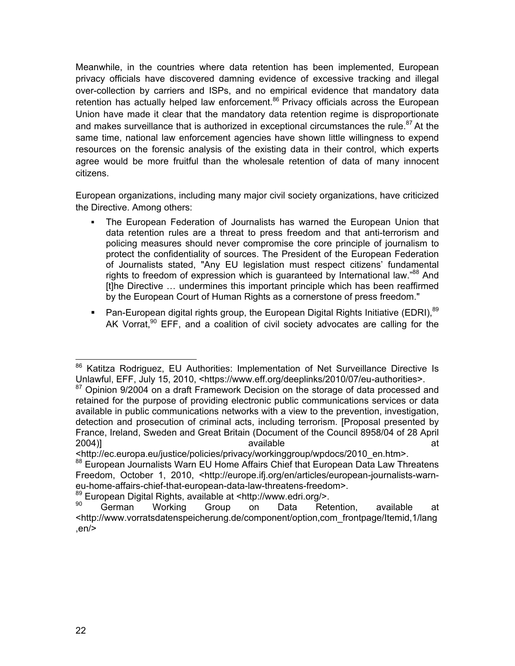Meanwhile, in the countries where data retention has been implemented, European privacy officials have discovered damning evidence of excessive tracking and illegal over-collection by carriers and ISPs, and no empirical evidence that mandatory data retention has actually helped law enforcement.<sup>86</sup> Privacy officials across the European Union have made it clear that the mandatory data retention regime is disproportionate and makes surveillance that is authorized in exceptional circumstances the rule. $87$  At the same time, national law enforcement agencies have shown little willingness to expend resources on the forensic analysis of the existing data in their control, which experts agree would be more fruitful than the wholesale retention of data of many innocent citizens.

European organizations, including many major civil society organizations, have criticized the Directive. Among others:

- The European Federation of Journalists has warned the European Union that data retention rules are a threat to press freedom and that anti-terrorism and policing measures should never compromise the core principle of journalism to protect the confidentiality of sources. The President of the European Federation of Journalists stated, "Any EU legislation must respect citizens' fundamental rights to freedom of expression which is quaranteed by International law."<sup>88</sup> And [t]he Directive … undermines this important principle which has been reaffirmed by the European Court of Human Rights as a cornerstone of press freedom."
- Pan-European digital rights group, the European Digital Rights Initiative (EDRI),  $89$ AK Vorrat, $90$  EFF, and a coalition of civil society advocates are calling for the

<sup>89</sup> European Digital Rights, available at <http://www.edri.org/>.<br>  $\frac{90}{200}$  Corman Marking Croup on Data Rat

<sup>86</sup> Katitza Rodriguez, EU Authorities: Implementation of Net Surveillance Directive Is Unlawful, EFF, July 15, 2010, <https://www.eff.org/deeplinks/2010/07/eu-authorities>.

 $87$  Opinion 9/2004 on a draft Framework Decision on the storage of data processed and retained for the purpose of providing electronic public communications services or data available in public communications networks with a view to the prevention, investigation, detection and prosecution of criminal acts, including terrorism. [Proposal presented by France, Ireland, Sweden and Great Britain (Document of the Council 8958/04 of 28 April 2004)] available and the settlement of the settlement of the settlement of the settlement of the set

<sup>&</sup>lt;http://ec.europa.eu/justice/policies/privacy/workinggroup/wpdocs/2010\_en.htm>.

<sup>88</sup> European Journalists Warn EU Home Affairs Chief that European Data Law Threatens Freedom, October 1, 2010, <http://europe.ifj.org/en/articles/european-journalists-warneu-home-affairs-chief-that-european-data-law-threatens-freedom>.

<sup>&</sup>lt;sup>90</sup> German Working Group on Data Retention, available at <http://www.vorratsdatenspeicherung.de/component/option,com\_frontpage/Itemid,1/lang ,en/>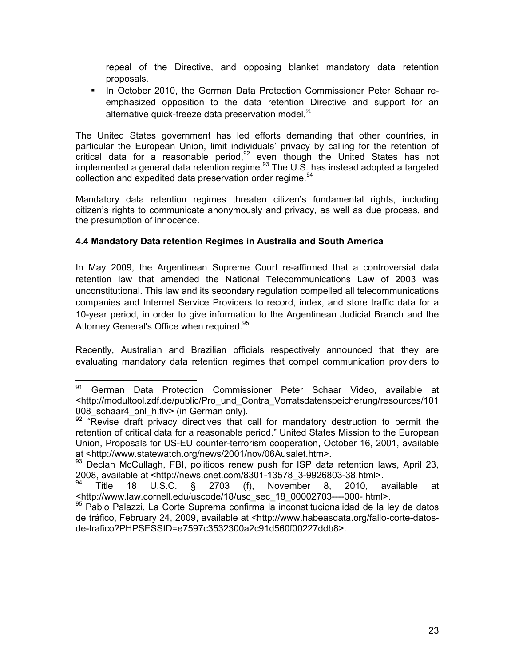repeal of the Directive, and opposing blanket mandatory data retention proposals.

**In October 2010, the German Data Protection Commissioner Peter Schaar re**emphasized opposition to the data retention Directive and support for an alternative quick-freeze data preservation model. $91$ 

The United States government has led efforts demanding that other countries, in particular the European Union, limit individuals' privacy by calling for the retention of particular the European Shien, mini included at though the United States has not implemented a general data retention regime. $93$  The U.S. has instead adopted a targeted collection and expedited data preservation order regime.<sup>94</sup>

Mandatory data retention regimes threaten citizen's fundamental rights, including citizen's rights to communicate anonymously and privacy, as well as due process, and the presumption of innocence.

## **4.4 Mandatory Data retention Regimes in Australia and South America**

In May 2009, the Argentinean Supreme Court re-affirmed that a controversial data retention law that amended the National Telecommunications Law of 2003 was unconstitutional. This law and its secondary regulation compelled all telecommunications companies and Internet Service Providers to record, index, and store traffic data for a 10-year period, in order to give information to the Argentinean Judicial Branch and the Attorney General's Office when required.<sup>95</sup>

Recently, Australian and Brazilian officials respectively announced that they are evaluating mandatory data retention regimes that compel communication providers to

<sup>91</sup> German Data Protection Commissioner Peter Schaar Video, available at <http://modultool.zdf.de/public/Pro\_und\_Contra\_Vorratsdatenspeicherung/resources/101 008 schaar4 onl h.flv> (in German only).

 $92$  "Revise draft privacy directives that call for mandatory destruction to permit the retention of critical data for a reasonable period." United States Mission to the European Union, Proposals for US-EU counter-terrorism cooperation, October 16, 2001, available at <http://www.statewatch.org/news/2001/nov/06Ausalet.htm>.

<sup>93</sup> Declan McCullagh, FBI, politicos renew push for ISP data retention laws, April 23, 2008, available at <http://news.cnet.com/8301-13578\_3-9926803-38.html>.<br><sup>94</sup> Title 18, U.S.C. & 2703, (f) November 8, 2010.

<sup>94</sup> Title 18 U.S.C. § 2703 (f), November 8, 2010, available at <http://www.law.cornell.edu/uscode/18/usc\_sec\_18\_00002703----000-.html>.

<sup>95</sup> Pablo Palazzi, La Corte Suprema confirma la inconstitucionalidad de la ley de datos de tráfico, February 24, 2009, available at <http://www.habeasdata.org/fallo-corte-datosde-trafico?PHPSESSID=e7597c3532300a2c91d560f00227ddb8>.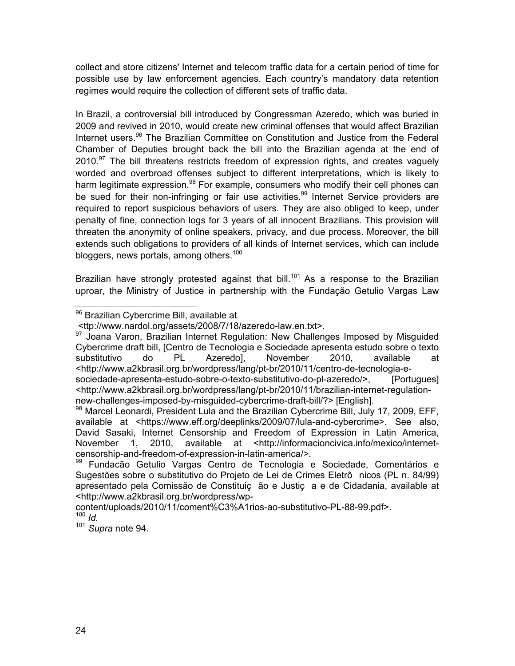collect and store citizens' Internet and telecom traffic data for a certain period of time for possible use by law enforcement agencies. Each country's mandatory data retention regimes would require the collection of different sets of traffic data.

In Brazil, a controversial bill introduced by Congressman Azeredo, which was buried in 2009 and revived in 2010, would create new criminal offenses that would affect Brazilian Internet users.<sup>96</sup> The Brazilian Committee on Constitution and Justice from the Federal Chamber of Deputies brought back the bill into the Brazilian agenda at the end of  $2010.<sup>97</sup>$  The bill threatens restricts freedom of expression rights, and creates vaguely worded and overbroad offenses subject to different interpretations, which is likely to harm legitimate expression.<sup>98</sup> For example, consumers who modify their cell phones can be sued for their non-infringing or fair use activities.<sup>99</sup> Internet Service providers are required to report suspicious behaviors of users. They are also obliged to keep, under penalty of fine, connection logs for 3 years of all innocent Brazilians. This provision will threaten the anonymity of online speakers, privacy, and due process. Moreover, the bill extends such obligations to providers of all kinds of Internet services, which can include bloggers, news portals, among others.<sup>100</sup>

Brazilian have strongly protested against that bill.<sup>101</sup> As a response to the Brazilian uproar, the Ministry of Justice in partnership with the Fundação Getulio Vargas Law

<sup>96</sup> Brazilian Cybercrime Bill, available at

 <sup>&</sup>lt;ttp://www.nardol.org/assets/2008/7/18/azeredo-law.en.txt>.

 $97$  Joana Varon, Brazilian Internet Regulation: New Challenges Imposed by Misguided Cybercrime draft bill, [Centro de Tecnologia e Sociedade apresenta estudo sobre o texto substitutivo do PL Azeredo], November 2010, available at <http://www.a2kbrasil.org.br/wordpress/lang/pt-br/2010/11/centro-de-tecnologia-esociedade-apresenta-estudo-sobre-o-texto-substitutivo-do-pl-azeredo/>, [Portugues] <http://www.a2kbrasil.org.br/wordpress/lang/pt-br/2010/11/brazilian-internet-regulation-

new-challenges-imposed-by-misguided-cybercrime-draft-bill/?> [English].<br><sup>98</sup> Marcel Leonardi, President Lula and the Brazilian Cybercrime Bill, July 17, 2009, EFF, available at <https://www.eff.org/deeplinks/2009/07/lula-and-cybercrime>. See also, David Sasaki, Internet Censorship and Freedom of Expression in Latin America, November 1, 2010, available at <http://informacioncivica.info/mexico/internetcensorship-and-freedom-of-expression-in-latin-america/>.

<sup>99</sup> Fundacão Getulio Vargas Centro de Tecnologia e Sociedade, Comentários e Sugestões sobre o substitutivo do Projeto de Lei de Crimes Eletrô nicos (PL n. 84/99) apresentado pela Comissão de Constituiç ão e Justiç a e de Cidadania, available at <http://www.a2kbrasil.org.br/wordpress/wp-

content/uploads/2010/11/coment%C3%A1rios-ao-substitutivo-PL-88-99.pdf>. <sup>100</sup> *Id.*

<sup>101</sup> *Supra* note 94.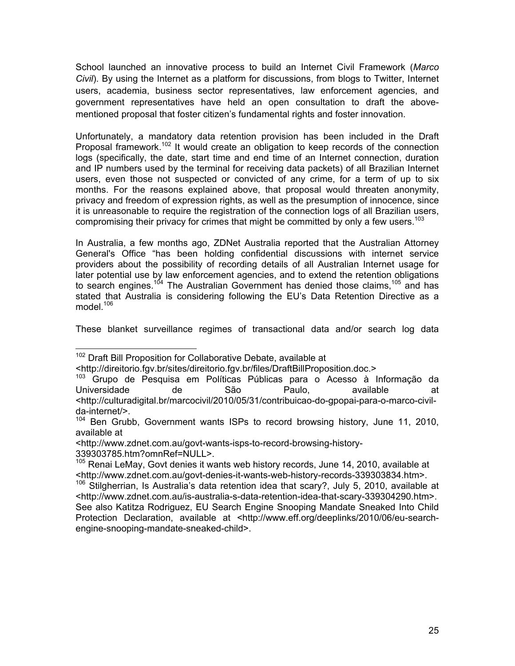School launched an innovative process to build an Internet Civil Framework (*Marco Civil*). By using the Internet as a platform for discussions, from blogs to Twitter, Internet users, academia, business sector representatives, law enforcement agencies, and government representatives have held an open consultation to draft the abovementioned proposal that foster citizen's fundamental rights and foster innovation.

Unfortunately, a mandatory data retention provision has been included in the Draft Proposal framework.<sup>102</sup> It would create an obligation to keep records of the connection logs (specifically, the date, start time and end time of an Internet connection, duration and IP numbers used by the terminal for receiving data packets) of all Brazilian Internet users, even those not suspected or convicted of any crime, for a term of up to six months. For the reasons explained above, that proposal would threaten anonymity, privacy and freedom of expression rights, as well as the presumption of innocence, since it is unreasonable to require the registration of the connection logs of all Brazilian users, compromising their privacy for crimes that might be committed by only a few users.<sup>103</sup>

In Australia, a few months ago, ZDNet Australia reported that the Australian Attorney General's Office "has been holding confidential discussions with internet service providers about the possibility of recording details of all Australian Internet usage for later potential use by law enforcement agencies, and to extend the retention obligations to search engines.<sup>104</sup> The Australian Government has denied those claims,<sup>105</sup> and has stated that Australia is considering following the EU's Data Retention Directive as a model. $106$ 

These blanket surveillance regimes of transactional data and/or search log data

<sup>&</sup>lt;sup>102</sup> Draft Bill Proposition for Collaborative Debate, available at

<sup>&</sup>lt;http://direitorio.fgv.br/sites/direitorio.fgv.br/files/DraftBillProposition.doc.>

<sup>&</sup>lt;sup>103</sup> Grupo de Pesquisa em Políticas Públicas para o Acesso à Informação da Universidade de São Paulo, available at <http://culturadigital.br/marcocivil/2010/05/31/contribuicao-do-gpopai-para-o-marco-civilda-internet/>.

<sup>&</sup>lt;sup>104</sup> Ben Grubb, Government wants ISPs to record browsing history, June 11, 2010, available at

<sup>&</sup>lt;http://www.zdnet.com.au/govt-wants-isps-to-record-browsing-history-339303785.htm?omnRef=NULL>.

<sup>&</sup>lt;sup>105</sup> Renai LeMay, Govt denies it wants web history records, June 14, 2010, available at <http://www.zdnet.com.au/govt-denies-it-wants-web-history-records-339303834.htm>.

 $106$  Stilaherrian, Is Australia's data retention idea that scary?, July 5, 2010, available at <http://www.zdnet.com.au/is-australia-s-data-retention-idea-that-scary-339304290.htm>. See also Katitza Rodriguez, EU Search Engine Snooping Mandate Sneaked Into Child Protection Declaration, available at <http://www.eff.org/deeplinks/2010/06/eu-searchengine-snooping-mandate-sneaked-child>.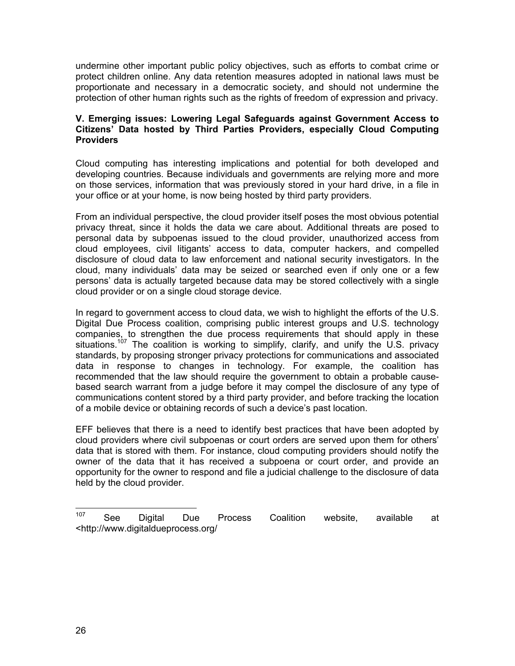undermine other important public policy objectives, such as efforts to combat crime or protect children online. Any data retention measures adopted in national laws must be proportionate and necessary in a democratic society, and should not undermine the protection of other human rights such as the rights of freedom of expression and privacy.

#### **V. Emerging issues: Lowering Legal Safeguards against Government Access to Citizens' Data hosted by Third Parties Providers, especially Cloud Computing Providers**

Cloud computing has interesting implications and potential for both developed and developing countries. Because individuals and governments are relying more and more on those services, information that was previously stored in your hard drive, in a file in your office or at your home, is now being hosted by third party providers.

From an individual perspective, the cloud provider itself poses the most obvious potential privacy threat, since it holds the data we care about. Additional threats are posed to personal data by subpoenas issued to the cloud provider, unauthorized access from cloud employees, civil litigants' access to data, computer hackers, and compelled disclosure of cloud data to law enforcement and national security investigators. In the cloud, many individuals' data may be seized or searched even if only one or a few persons' data is actually targeted because data may be stored collectively with a single cloud provider or on a single cloud storage device.

In regard to government access to cloud data, we wish to highlight the efforts of the U.S. Digital Due Process coalition, comprising public interest groups and U.S. technology companies, to strengthen the due process requirements that should apply in these situations.<sup>107</sup> The coalition is working to simplify, clarify, and unify the U.S. privacy standards, by proposing stronger privacy protections for communications and associated data in response to changes in technology. For example, the coalition has recommended that the law should require the government to obtain a probable causebased search warrant from a judge before it may compel the disclosure of any type of communications content stored by a third party provider, and before tracking the location of a mobile device or obtaining records of such a device's past location.

EFF believes that there is a need to identify best practices that have been adopted by cloud providers where civil subpoenas or court orders are served upon them for others' data that is stored with them. For instance, cloud computing providers should notify the owner of the data that it has received a subpoena or court order, and provide an opportunity for the owner to respond and file a judicial challenge to the disclosure of data held by the cloud provider.

<sup>107</sup> See Digital Due Process Coalition website, available at <http://www.digitaldueprocess.org/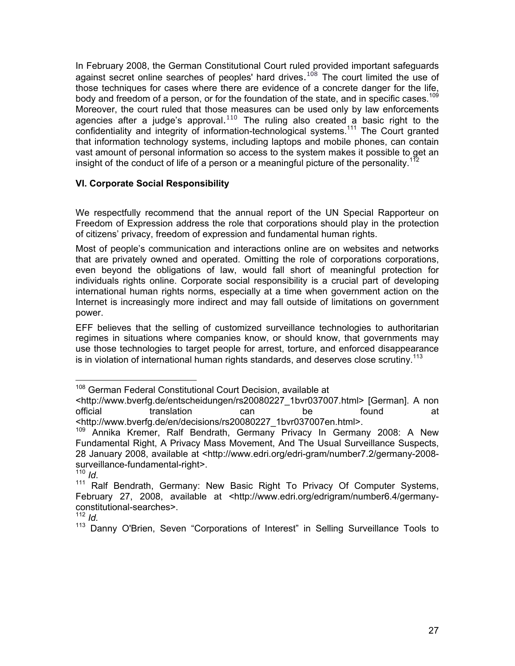In February 2008, the German Constitutional Court ruled provided important safeguards against secret online searches of peoples' hard drives.<sup>108</sup> The court limited the use of those techniques for cases where there are evidence of a concrete danger for the life, body and freedom of a person, or for the foundation of the state, and in specific cases.<sup>109</sup> Moreover, the court ruled that those measures can be used only by law enforcements agencies after a judge's approval. $^{110}$  The ruling also created a basic right to the confidentiality and integrity of information-technological systems.<sup>111</sup> The Court granted that information technology systems, including laptops and mobile phones, can contain vast amount of personal information so access to the system makes it possible to get an insight of the conduct of life of a person or a meaningful picture of the personality.<sup>112</sup>

## **VI. Corporate Social Responsibility**

We respectfully recommend that the annual report of the UN Special Rapporteur on Freedom of Expression address the role that corporations should play in the protection of citizens' privacy, freedom of expression and fundamental human rights.

Most of people's communication and interactions online are on websites and networks that are privately owned and operated. Omitting the role of corporations corporations, even beyond the obligations of law, would fall short of meaningful protection for individuals rights online. Corporate social responsibility is a crucial part of developing international human rights norms, especially at a time when government action on the Internet is increasingly more indirect and may fall outside of limitations on government power.

EFF believes that the selling of customized surveillance technologies to authoritarian regimes in situations where companies know, or should know, that governments may use those technologies to target people for arrest, torture, and enforced disappearance is in violation of international human rights standards, and deserves close scrutiny.<sup>113</sup>

<sup>&</sup>lt;sup>108</sup> German Federal Constitutional Court Decision, available at

<sup>&</sup>lt;http://www.bverfg.de/entscheidungen/rs20080227\_1bvr037007.html> [German]. A non official translation can be found at <http://www.bverfg.de/en/decisions/rs20080227\_1bvr037007en.html>.

<sup>&</sup>lt;sup>109</sup> Annika Kremer, Ralf Bendrath, Germany Privacy In Germany 2008: A New Fundamental Right, A Privacy Mass Movement, And The Usual Surveillance Suspects, 28 January 2008, available at <http://www.edri.org/edri-gram/number7.2/germany-2008 surveillance-fundamental-right>.<br> $110$   $Id$ 

<sup>&</sup>lt;sup>111</sup> Ralf Bendrath, Germany: New Basic Right To Privacy Of Computer Systems, February 27, 2008, available at <http://www.edri.org/edrigram/number6.4/germanyconstitutional-searches>.

<sup>112</sup> *Id.*

<sup>113</sup> Danny O'Brien, Seven "Corporations of Interest" in Selling Surveillance Tools to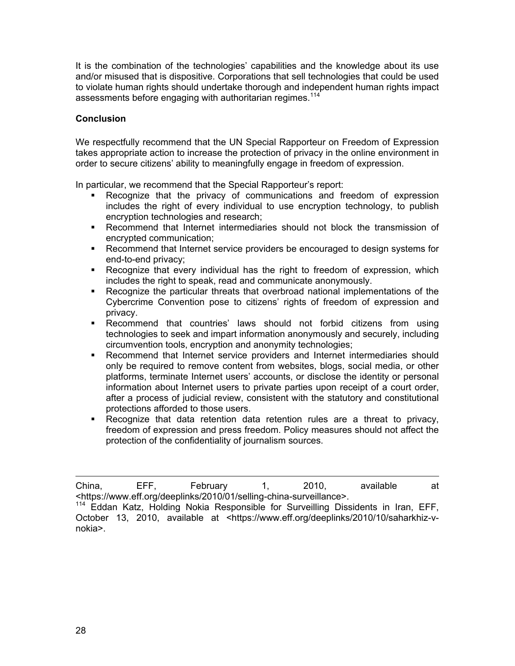It is the combination of the technologies' capabilities and the knowledge about its use and/or misused that is dispositive. Corporations that sell technologies that could be used to violate human rights should undertake thorough and independent human rights impact assessments before engaging with authoritarian regimes.<sup>114</sup>

## **Conclusion**

We respectfully recommend that the UN Special Rapporteur on Freedom of Expression takes appropriate action to increase the protection of privacy in the online environment in order to secure citizens' ability to meaningfully engage in freedom of expression.

In particular, we recommend that the Special Rapporteur's report:

- Recognize that the privacy of communications and freedom of expression includes the right of every individual to use encryption technology, to publish encryption technologies and research;
- Recommend that Internet intermediaries should not block the transmission of encrypted communication;
- Recommend that Internet service providers be encouraged to design systems for end-to-end privacy;
- Recognize that every individual has the right to freedom of expression, which includes the right to speak, read and communicate anonymously.
- Recognize the particular threats that overbroad national implementations of the Cybercrime Convention pose to citizens' rights of freedom of expression and privacy.
- Recommend that countries' laws should not forbid citizens from using technologies to seek and impart information anonymously and securely, including circumvention tools, encryption and anonymity technologies;
- Recommend that Internet service providers and Internet intermediaries should only be required to remove content from websites, blogs, social media, or other platforms, terminate Internet users' accounts, or disclose the identity or personal information about Internet users to private parties upon receipt of a court order, after a process of judicial review, consistent with the statutory and constitutional protections afforded to those users.
- Recognize that data retention data retention rules are a threat to privacy, freedom of expression and press freedom. Policy measures should not affect the protection of the confidentiality of journalism sources.

 China, EFF, February 1, 2010, available at <https://www.eff.org/deeplinks/2010/01/selling-china-surveillance>.

<sup>114</sup> Eddan Katz, Holding Nokia Responsible for Surveilling Dissidents in Iran, EFF, October 13, 2010, available at <https://www.eff.org/deeplinks/2010/10/saharkhiz-vnokia>.